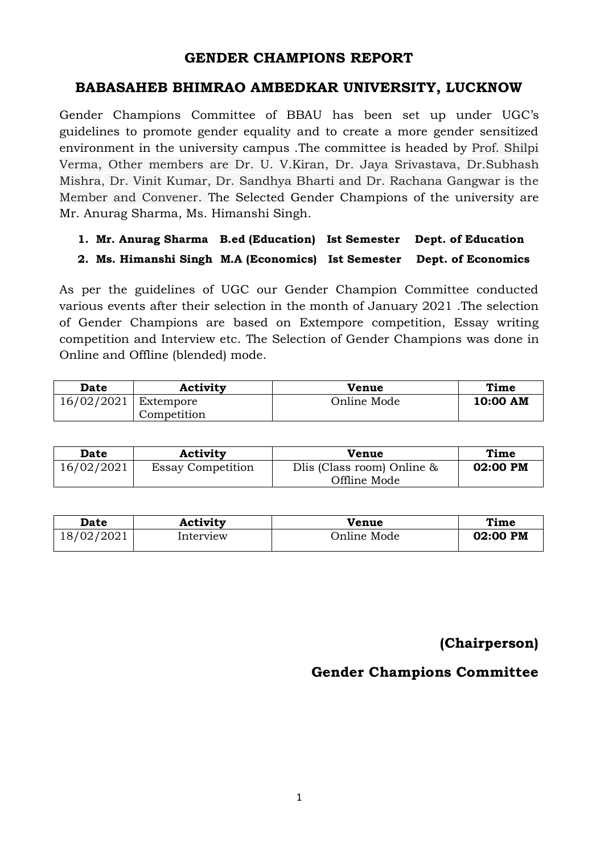#### **GENDER CHAMPIONS REPORT**

#### **BABASAHEB BHIMRAO AMBEDKAR UNIVERSITY, LUCKNOW**

Gender Champions Committee of BBAU has been set up under UGC's guidelines to promote gender equality and to create a more gender sensitized environment in the university campus .The committee is headed by Prof. Shilpi Verma, Other members are Dr. U. V.Kiran, Dr. Jaya Srivastava, Dr.Subhash Mishra, Dr. Vinit Kumar, Dr. Sandhya Bharti and Dr. Rachana Gangwar is the Member and Convener. The Selected Gender Champions of the university are Mr. Anurag Sharma, Ms. Himanshi Singh.

#### **1. Mr. Anurag Sharma B.ed (Education) Ist Semester Dept. of Education 2. Ms. Himanshi Singh M.A (Economics) Ist Semester Dept. of Economics**

As per the guidelines of UGC our Gender Champion Committee conducted various events after their selection in the month of January 2021 .The selection of Gender Champions are based on Extempore competition, Essay writing competition and Interview etc. The Selection of Gender Champions was done in Online and Offline (blended) mode.

| Date       | <b>Activity</b> | <b>Venue</b> | Time     |
|------------|-----------------|--------------|----------|
| 16/02/2021 | Extempore       | Online Mode  | 10:00 AM |
|            | Competition     |              |          |

| <b>Date</b> | Activity                 | Venue                                         | Time     |
|-------------|--------------------------|-----------------------------------------------|----------|
| 16/02/2021  | <b>Essay Competition</b> | Dlis (Class room) Online $\&$<br>Offline Mode | 02:00 PM |

| Date       | Activity  | Venue       | Time     |
|------------|-----------|-------------|----------|
| 18/02/2021 | interview | Online Mode | 02:00 PM |

### **(Chairperson)**

#### **Gender Champions Committee**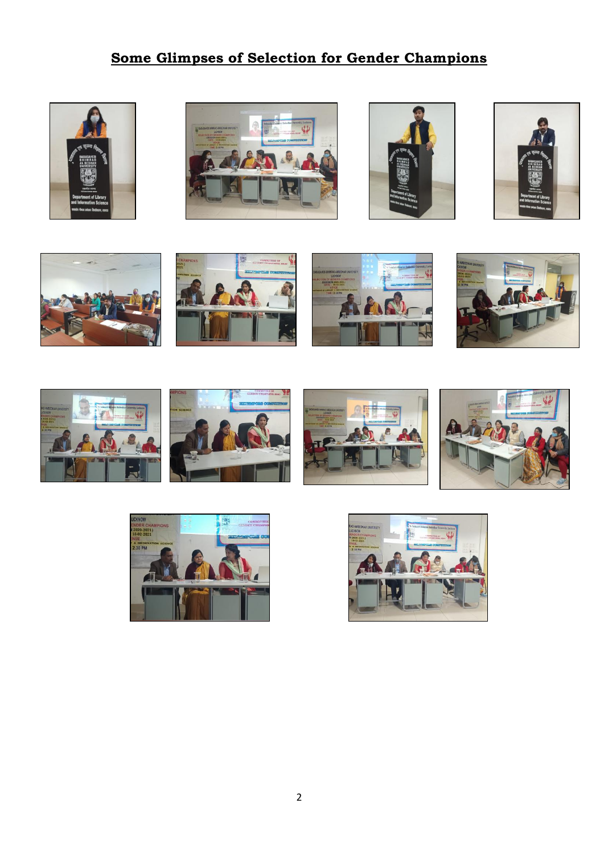## **Some Glimpses of Selection for Gender Champions**





















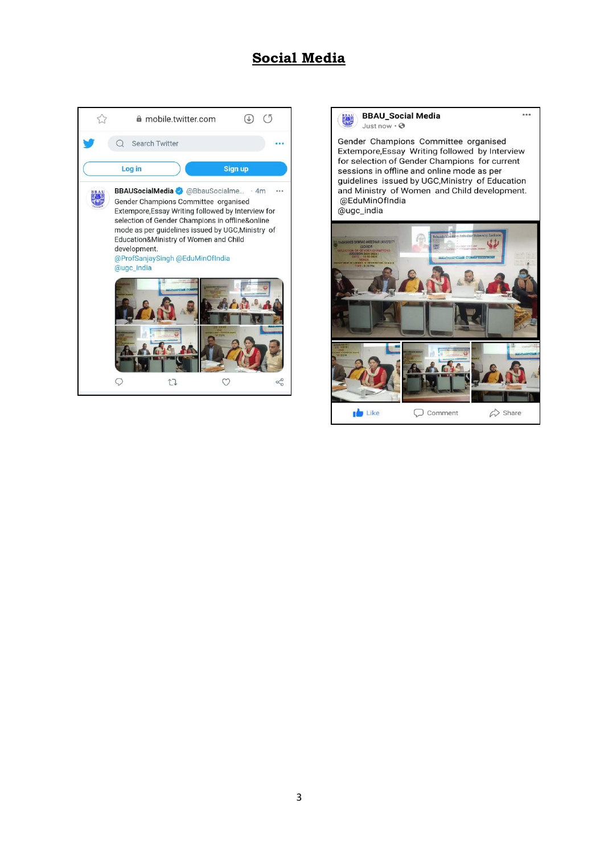#### **Social Media**



#### **BBAU\_Social Media** 勝 Just now  $\cdot$   $\odot$

Gender Champions Committee organised Extempore, Essay Writing followed by Interview<br>for selection of Gender Champions for current sessions in offline and online mode as per guidelines issued by UGC, Ministry of Education and Ministry of Women and Child development. @EduMinOfIndia @ugc\_india

 $\cdots$